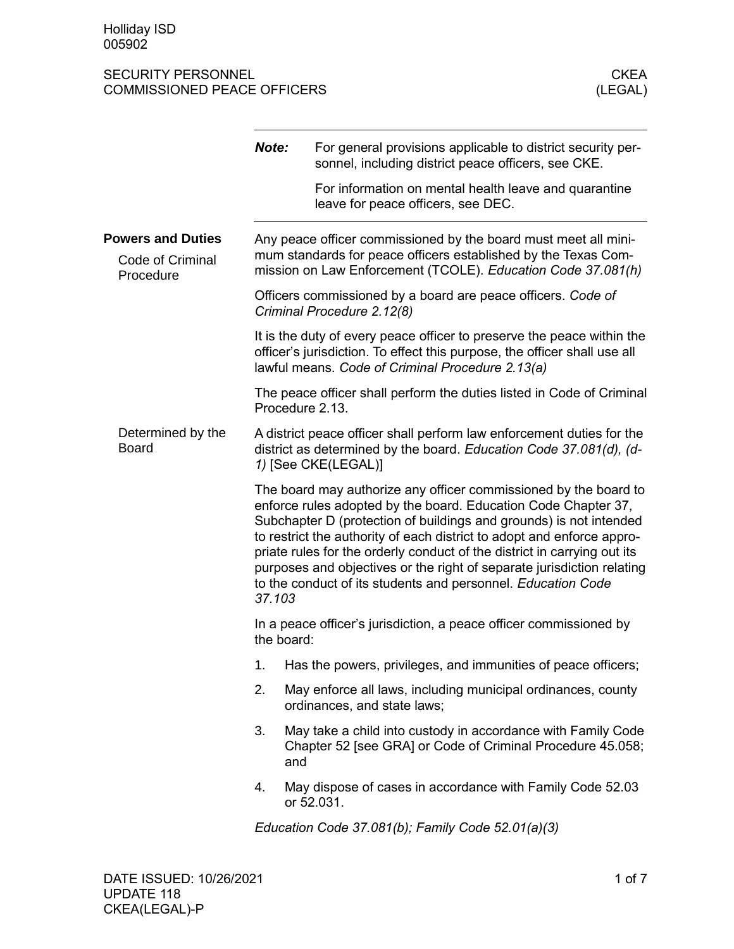|                                                           | Note:                                                                                                                                                                                                                                                                                                                                                                                                                                                                                                              | For general provisions applicable to district security per-<br>sonnel, including district peace officers, see CKE.<br>For information on mental health leave and quarantine<br>leave for peace officers, see DEC. |  |  |
|-----------------------------------------------------------|--------------------------------------------------------------------------------------------------------------------------------------------------------------------------------------------------------------------------------------------------------------------------------------------------------------------------------------------------------------------------------------------------------------------------------------------------------------------------------------------------------------------|-------------------------------------------------------------------------------------------------------------------------------------------------------------------------------------------------------------------|--|--|
| <b>Powers and Duties</b><br>Code of Criminal<br>Procedure |                                                                                                                                                                                                                                                                                                                                                                                                                                                                                                                    | Any peace officer commissioned by the board must meet all mini-<br>mum standards for peace officers established by the Texas Com-<br>mission on Law Enforcement (TCOLE). Education Code 37.081(h)                 |  |  |
|                                                           | Officers commissioned by a board are peace officers. Code of<br>Criminal Procedure 2.12(8)                                                                                                                                                                                                                                                                                                                                                                                                                         |                                                                                                                                                                                                                   |  |  |
|                                                           |                                                                                                                                                                                                                                                                                                                                                                                                                                                                                                                    | It is the duty of every peace officer to preserve the peace within the<br>officer's jurisdiction. To effect this purpose, the officer shall use all<br>lawful means. Code of Criminal Procedure 2.13(a)           |  |  |
|                                                           |                                                                                                                                                                                                                                                                                                                                                                                                                                                                                                                    | The peace officer shall perform the duties listed in Code of Criminal<br>Procedure 2.13.                                                                                                                          |  |  |
| Determined by the<br><b>Board</b>                         | A district peace officer shall perform law enforcement duties for the<br>district as determined by the board. Education Code 37.081(d), (d-<br>1) [See CKE(LEGAL)]                                                                                                                                                                                                                                                                                                                                                 |                                                                                                                                                                                                                   |  |  |
|                                                           | The board may authorize any officer commissioned by the board to<br>enforce rules adopted by the board. Education Code Chapter 37,<br>Subchapter D (protection of buildings and grounds) is not intended<br>to restrict the authority of each district to adopt and enforce appro-<br>priate rules for the orderly conduct of the district in carrying out its<br>purposes and objectives or the right of separate jurisdiction relating<br>to the conduct of its students and personnel. Education Code<br>37.103 |                                                                                                                                                                                                                   |  |  |
|                                                           | In a peace officer's jurisdiction, a peace officer commissioned by<br>the board:                                                                                                                                                                                                                                                                                                                                                                                                                                   |                                                                                                                                                                                                                   |  |  |
|                                                           | 1.                                                                                                                                                                                                                                                                                                                                                                                                                                                                                                                 | Has the powers, privileges, and immunities of peace officers;                                                                                                                                                     |  |  |
|                                                           | 2.                                                                                                                                                                                                                                                                                                                                                                                                                                                                                                                 | May enforce all laws, including municipal ordinances, county<br>ordinances, and state laws;                                                                                                                       |  |  |
|                                                           | 3.                                                                                                                                                                                                                                                                                                                                                                                                                                                                                                                 | May take a child into custody in accordance with Family Code<br>Chapter 52 [see GRA] or Code of Criminal Procedure 45.058;<br>and                                                                                 |  |  |
|                                                           | 4.                                                                                                                                                                                                                                                                                                                                                                                                                                                                                                                 | May dispose of cases in accordance with Family Code 52.03<br>or 52.031.                                                                                                                                           |  |  |
|                                                           |                                                                                                                                                                                                                                                                                                                                                                                                                                                                                                                    | Education Code 37.081(b); Family Code 52.01(a)(3)                                                                                                                                                                 |  |  |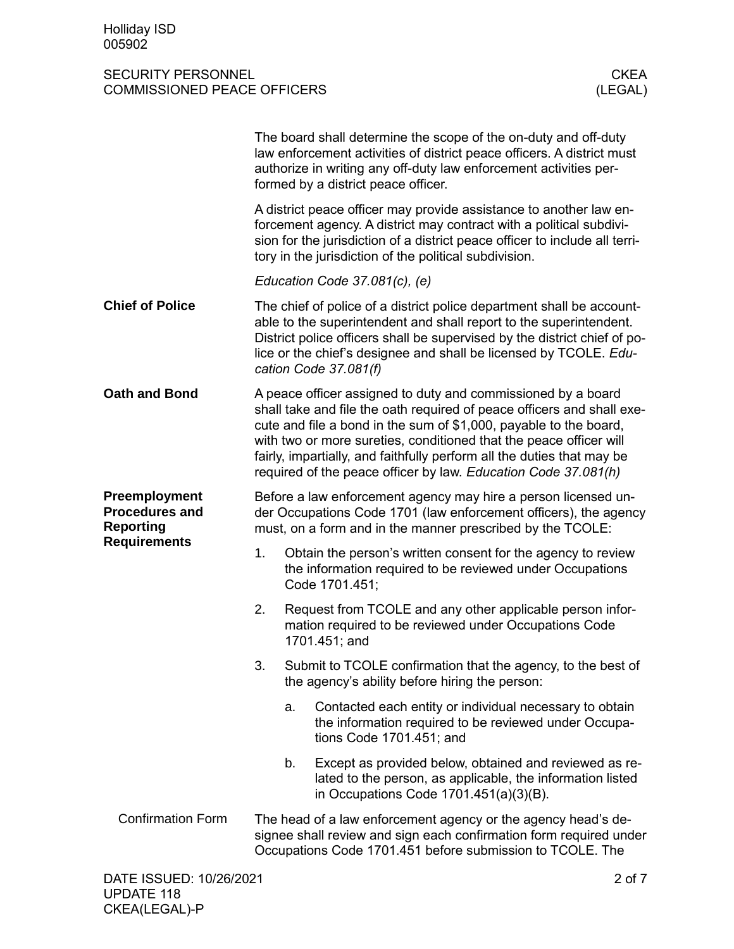|                                                            |                                                                                                                                                                                                  |    | The board shall determine the scope of the on-duty and off-duty<br>law enforcement activities of district peace officers. A district must<br>authorize in writing any off-duty law enforcement activities per-<br>formed by a district peace officer.                                                                                                                                                                         |  |
|------------------------------------------------------------|--------------------------------------------------------------------------------------------------------------------------------------------------------------------------------------------------|----|-------------------------------------------------------------------------------------------------------------------------------------------------------------------------------------------------------------------------------------------------------------------------------------------------------------------------------------------------------------------------------------------------------------------------------|--|
|                                                            |                                                                                                                                                                                                  |    | A district peace officer may provide assistance to another law en-<br>forcement agency. A district may contract with a political subdivi-<br>sion for the jurisdiction of a district peace officer to include all terri-<br>tory in the jurisdiction of the political subdivision.                                                                                                                                            |  |
|                                                            |                                                                                                                                                                                                  |    | Education Code 37.081(c), (e)                                                                                                                                                                                                                                                                                                                                                                                                 |  |
| <b>Chief of Police</b>                                     |                                                                                                                                                                                                  |    | The chief of police of a district police department shall be account-<br>able to the superintendent and shall report to the superintendent.<br>District police officers shall be supervised by the district chief of po-<br>lice or the chief's designee and shall be licensed by TCOLE. Edu-<br>cation Code 37.081(f)                                                                                                        |  |
| <b>Oath and Bond</b>                                       |                                                                                                                                                                                                  |    | A peace officer assigned to duty and commissioned by a board<br>shall take and file the oath required of peace officers and shall exe-<br>cute and file a bond in the sum of \$1,000, payable to the board,<br>with two or more sureties, conditioned that the peace officer will<br>fairly, impartially, and faithfully perform all the duties that may be<br>required of the peace officer by law. Education Code 37.081(h) |  |
| Preemployment<br><b>Procedures and</b><br><b>Reporting</b> | Before a law enforcement agency may hire a person licensed un-<br>der Occupations Code 1701 (law enforcement officers), the agency<br>must, on a form and in the manner prescribed by the TCOLE: |    |                                                                                                                                                                                                                                                                                                                                                                                                                               |  |
| <b>Requirements</b>                                        | 1.                                                                                                                                                                                               |    | Obtain the person's written consent for the agency to review<br>the information required to be reviewed under Occupations<br>Code 1701.451;                                                                                                                                                                                                                                                                                   |  |
|                                                            | 2.                                                                                                                                                                                               |    | Request from TCOLE and any other applicable person infor-<br>mation required to be reviewed under Occupations Code<br>1701.451; and                                                                                                                                                                                                                                                                                           |  |
|                                                            | 3.                                                                                                                                                                                               |    | Submit to TCOLE confirmation that the agency, to the best of<br>the agency's ability before hiring the person:                                                                                                                                                                                                                                                                                                                |  |
|                                                            |                                                                                                                                                                                                  | a. | Contacted each entity or individual necessary to obtain<br>the information required to be reviewed under Occupa-<br>tions Code 1701.451; and                                                                                                                                                                                                                                                                                  |  |
|                                                            |                                                                                                                                                                                                  | b. | Except as provided below, obtained and reviewed as re-<br>lated to the person, as applicable, the information listed<br>in Occupations Code $1701.451(a)(3)(B)$ .                                                                                                                                                                                                                                                             |  |
| <b>Confirmation Form</b>                                   |                                                                                                                                                                                                  |    | The head of a law enforcement agency or the agency head's de-<br>signee shall review and sign each confirmation form required under<br>Occupations Code 1701.451 before submission to TCOLE. The                                                                                                                                                                                                                              |  |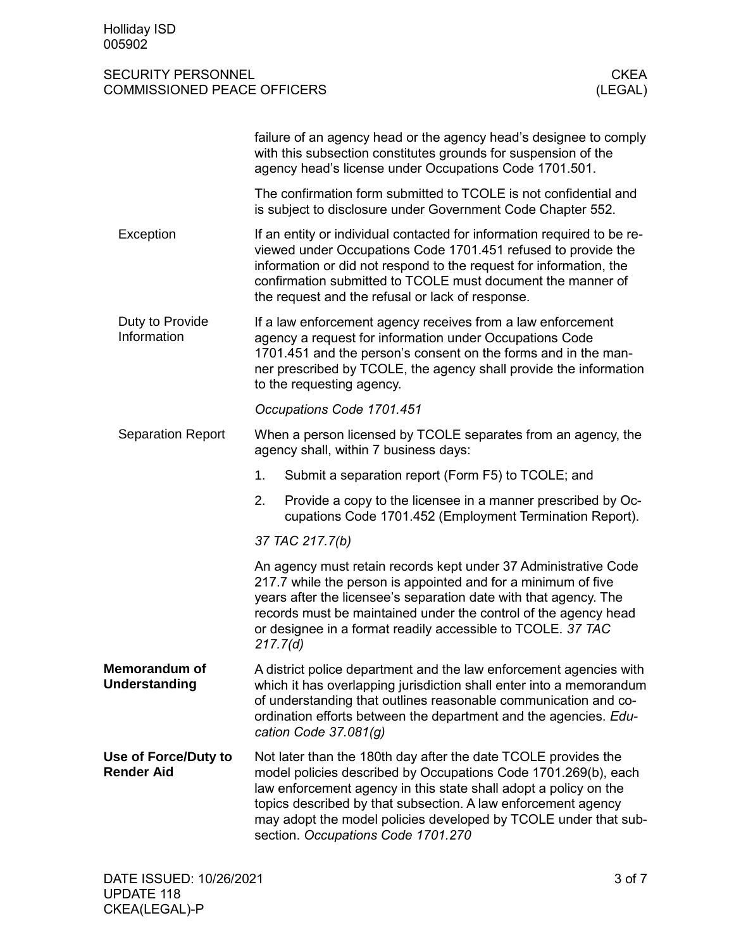|                                              | failure of an agency head or the agency head's designee to comply<br>with this subsection constitutes grounds for suspension of the<br>agency head's license under Occupations Code 1701.501.                                                                                                                                                                                  |  |  |  |
|----------------------------------------------|--------------------------------------------------------------------------------------------------------------------------------------------------------------------------------------------------------------------------------------------------------------------------------------------------------------------------------------------------------------------------------|--|--|--|
|                                              | The confirmation form submitted to TCOLE is not confidential and<br>is subject to disclosure under Government Code Chapter 552.                                                                                                                                                                                                                                                |  |  |  |
| Exception                                    | If an entity or individual contacted for information required to be re-<br>viewed under Occupations Code 1701.451 refused to provide the<br>information or did not respond to the request for information, the<br>confirmation submitted to TCOLE must document the manner of<br>the request and the refusal or lack of response.                                              |  |  |  |
| Duty to Provide<br>Information               | If a law enforcement agency receives from a law enforcement<br>agency a request for information under Occupations Code<br>1701.451 and the person's consent on the forms and in the man-<br>ner prescribed by TCOLE, the agency shall provide the information<br>to the requesting agency.                                                                                     |  |  |  |
|                                              | Occupations Code 1701.451                                                                                                                                                                                                                                                                                                                                                      |  |  |  |
| <b>Separation Report</b>                     | When a person licensed by TCOLE separates from an agency, the<br>agency shall, within 7 business days:                                                                                                                                                                                                                                                                         |  |  |  |
|                                              | 1.<br>Submit a separation report (Form F5) to TCOLE; and                                                                                                                                                                                                                                                                                                                       |  |  |  |
|                                              | 2.<br>Provide a copy to the licensee in a manner prescribed by Oc-<br>cupations Code 1701.452 (Employment Termination Report).                                                                                                                                                                                                                                                 |  |  |  |
|                                              | 37 TAC 217.7(b)                                                                                                                                                                                                                                                                                                                                                                |  |  |  |
|                                              | An agency must retain records kept under 37 Administrative Code<br>217.7 while the person is appointed and for a minimum of five<br>years after the licensee's separation date with that agency. The<br>records must be maintained under the control of the agency head<br>or designee in a format readily accessible to TCOLE. 37 TAC<br>217.7(d)                             |  |  |  |
| <b>Memorandum of</b><br><b>Understanding</b> | A district police department and the law enforcement agencies with<br>which it has overlapping jurisdiction shall enter into a memorandum<br>of understanding that outlines reasonable communication and co-<br>ordination efforts between the department and the agencies. Edu-<br>cation Code $37.081(q)$                                                                    |  |  |  |
| Use of Force/Duty to<br><b>Render Aid</b>    | Not later than the 180th day after the date TCOLE provides the<br>model policies described by Occupations Code 1701.269(b), each<br>law enforcement agency in this state shall adopt a policy on the<br>topics described by that subsection. A law enforcement agency<br>may adopt the model policies developed by TCOLE under that sub-<br>section. Occupations Code 1701.270 |  |  |  |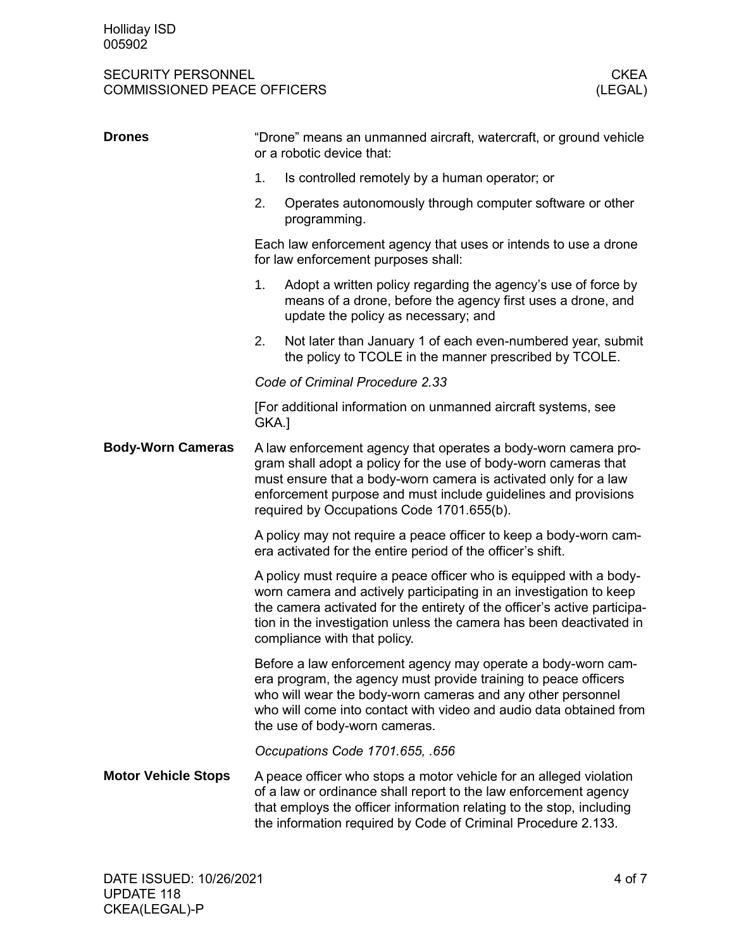#### SECURITY PERSONNEL COMMISSIONED PEACE OFFICERS AND THE COMMISSIONED PEACE OFFICERS AND THE COMMISSIONED PEACE OFFICERS COMMISSIONED PEACE OFFICERS

| <b>Drones</b>              | "Drone" means an unmanned aircraft, watercraft, or ground vehicle<br>or a robotic device that:                                                                                                                                                                                                                              |                                                                                                                                                                                                                                                                                 |  |
|----------------------------|-----------------------------------------------------------------------------------------------------------------------------------------------------------------------------------------------------------------------------------------------------------------------------------------------------------------------------|---------------------------------------------------------------------------------------------------------------------------------------------------------------------------------------------------------------------------------------------------------------------------------|--|
|                            | 1.                                                                                                                                                                                                                                                                                                                          | Is controlled remotely by a human operator; or                                                                                                                                                                                                                                  |  |
|                            | 2.                                                                                                                                                                                                                                                                                                                          | Operates autonomously through computer software or other<br>programming.                                                                                                                                                                                                        |  |
|                            |                                                                                                                                                                                                                                                                                                                             | Each law enforcement agency that uses or intends to use a drone<br>for law enforcement purposes shall:                                                                                                                                                                          |  |
|                            | 1.                                                                                                                                                                                                                                                                                                                          | Adopt a written policy regarding the agency's use of force by<br>means of a drone, before the agency first uses a drone, and<br>update the policy as necessary; and                                                                                                             |  |
|                            | 2.                                                                                                                                                                                                                                                                                                                          | Not later than January 1 of each even-numbered year, submit<br>the policy to TCOLE in the manner prescribed by TCOLE.                                                                                                                                                           |  |
|                            |                                                                                                                                                                                                                                                                                                                             | Code of Criminal Procedure 2.33                                                                                                                                                                                                                                                 |  |
|                            | GKA.]                                                                                                                                                                                                                                                                                                                       | [For additional information on unmanned aircraft systems, see                                                                                                                                                                                                                   |  |
| <b>Body-Worn Cameras</b>   | A law enforcement agency that operates a body-worn camera pro-<br>gram shall adopt a policy for the use of body-worn cameras that<br>must ensure that a body-worn camera is activated only for a law<br>enforcement purpose and must include guidelines and provisions<br>required by Occupations Code 1701.655(b).         |                                                                                                                                                                                                                                                                                 |  |
|                            |                                                                                                                                                                                                                                                                                                                             | A policy may not require a peace officer to keep a body-worn cam-<br>era activated for the entire period of the officer's shift.                                                                                                                                                |  |
|                            | A policy must require a peace officer who is equipped with a body-<br>worn camera and actively participating in an investigation to keep<br>the camera activated for the entirety of the officer's active participa-<br>tion in the investigation unless the camera has been deactivated in<br>compliance with that policy. |                                                                                                                                                                                                                                                                                 |  |
|                            | Before a law enforcement agency may operate a body-worn cam-<br>era program, the agency must provide training to peace officers<br>who will wear the body-worn cameras and any other personnel<br>who will come into contact with video and audio data obtained from<br>the use of body-worn cameras.                       |                                                                                                                                                                                                                                                                                 |  |
|                            |                                                                                                                                                                                                                                                                                                                             | Occupations Code 1701.655, .656                                                                                                                                                                                                                                                 |  |
| <b>Motor Vehicle Stops</b> |                                                                                                                                                                                                                                                                                                                             | A peace officer who stops a motor vehicle for an alleged violation<br>of a law or ordinance shall report to the law enforcement agency<br>that employs the officer information relating to the stop, including<br>the information required by Code of Criminal Procedure 2.133. |  |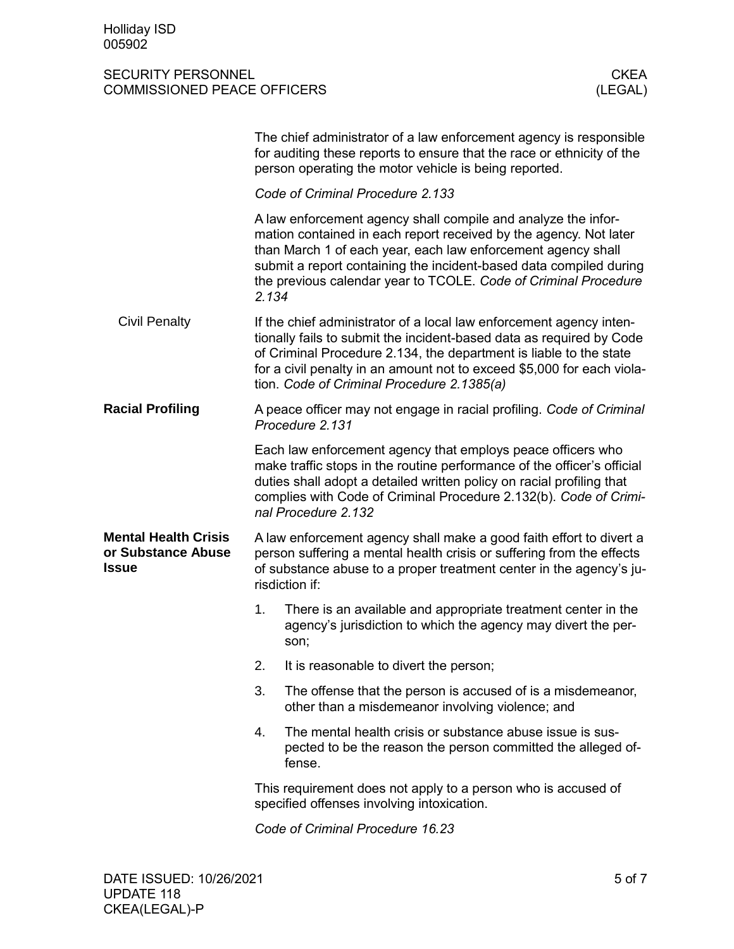|                                                                   |                                                                                                                                                                                                                                       | The chief administrator of a law enforcement agency is responsible<br>for auditing these reports to ensure that the race or ethnicity of the<br>person operating the motor vehicle is being reported.                                                                                                                                       |  |
|-------------------------------------------------------------------|---------------------------------------------------------------------------------------------------------------------------------------------------------------------------------------------------------------------------------------|---------------------------------------------------------------------------------------------------------------------------------------------------------------------------------------------------------------------------------------------------------------------------------------------------------------------------------------------|--|
|                                                                   | Code of Criminal Procedure 2.133                                                                                                                                                                                                      |                                                                                                                                                                                                                                                                                                                                             |  |
|                                                                   | 2.134                                                                                                                                                                                                                                 | A law enforcement agency shall compile and analyze the infor-<br>mation contained in each report received by the agency. Not later<br>than March 1 of each year, each law enforcement agency shall<br>submit a report containing the incident-based data compiled during<br>the previous calendar year to TCOLE. Code of Criminal Procedure |  |
| <b>Civil Penalty</b>                                              |                                                                                                                                                                                                                                       | If the chief administrator of a local law enforcement agency inten-<br>tionally fails to submit the incident-based data as required by Code<br>of Criminal Procedure 2.134, the department is liable to the state<br>for a civil penalty in an amount not to exceed \$5,000 for each viola-<br>tion. Code of Criminal Procedure 2.1385(a)   |  |
| <b>Racial Profiling</b>                                           |                                                                                                                                                                                                                                       | A peace officer may not engage in racial profiling. Code of Criminal<br>Procedure 2.131                                                                                                                                                                                                                                                     |  |
|                                                                   |                                                                                                                                                                                                                                       | Each law enforcement agency that employs peace officers who<br>make traffic stops in the routine performance of the officer's official<br>duties shall adopt a detailed written policy on racial profiling that<br>complies with Code of Criminal Procedure 2.132(b). Code of Crimi-<br>nal Procedure 2.132                                 |  |
| <b>Mental Health Crisis</b><br>or Substance Abuse<br><b>Issue</b> | A law enforcement agency shall make a good faith effort to divert a<br>person suffering a mental health crisis or suffering from the effects<br>of substance abuse to a proper treatment center in the agency's ju-<br>risdiction if: |                                                                                                                                                                                                                                                                                                                                             |  |
|                                                                   | 1.                                                                                                                                                                                                                                    | There is an available and appropriate treatment center in the<br>agency's jurisdiction to which the agency may divert the per-<br>son;                                                                                                                                                                                                      |  |
|                                                                   | 2.                                                                                                                                                                                                                                    | It is reasonable to divert the person;                                                                                                                                                                                                                                                                                                      |  |
|                                                                   | 3.                                                                                                                                                                                                                                    | The offense that the person is accused of is a misdemeanor,<br>other than a misdemeanor involving violence; and                                                                                                                                                                                                                             |  |
|                                                                   | 4.                                                                                                                                                                                                                                    | The mental health crisis or substance abuse issue is sus-<br>pected to be the reason the person committed the alleged of-<br>fense.                                                                                                                                                                                                         |  |
|                                                                   |                                                                                                                                                                                                                                       | This requirement does not apply to a person who is accused of<br>specified offenses involving intoxication.                                                                                                                                                                                                                                 |  |
|                                                                   | Code of Criminal Procedure 16.23                                                                                                                                                                                                      |                                                                                                                                                                                                                                                                                                                                             |  |
|                                                                   |                                                                                                                                                                                                                                       |                                                                                                                                                                                                                                                                                                                                             |  |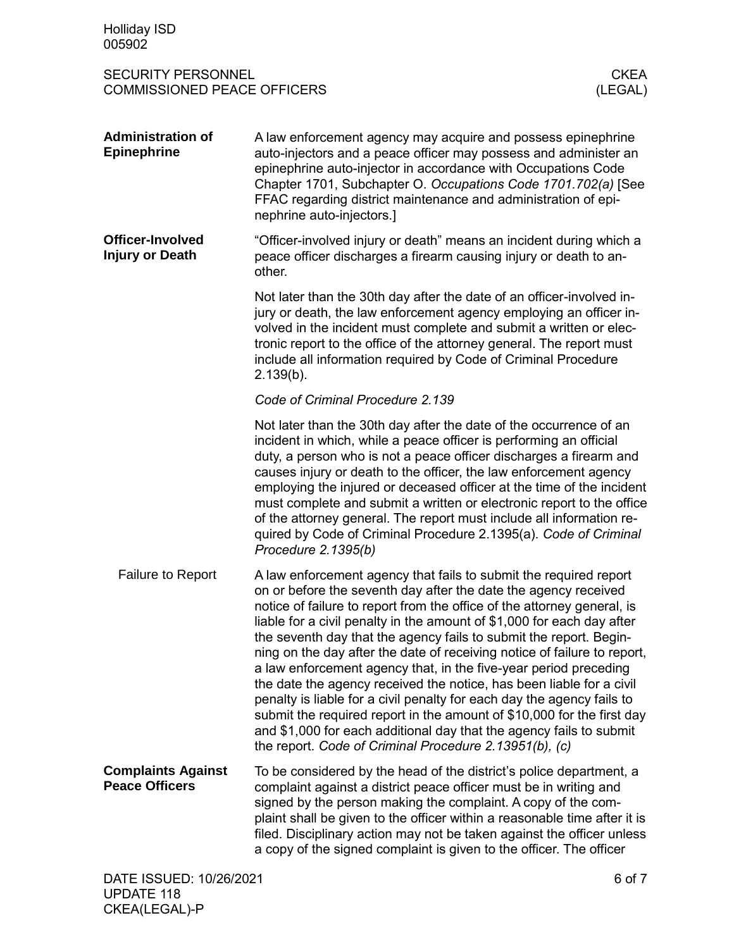| <b>Holliday ISD</b><br>005902                                                             |                                                                                                                                                                                                                                                                                                                                                                                                                                                                                                                                                                                                                                                                                                                                                                                                                                                                              |  |
|-------------------------------------------------------------------------------------------|------------------------------------------------------------------------------------------------------------------------------------------------------------------------------------------------------------------------------------------------------------------------------------------------------------------------------------------------------------------------------------------------------------------------------------------------------------------------------------------------------------------------------------------------------------------------------------------------------------------------------------------------------------------------------------------------------------------------------------------------------------------------------------------------------------------------------------------------------------------------------|--|
| <b>SECURITY PERSONNEL</b><br><b>CKEA</b><br><b>COMMISSIONED PEACE OFFICERS</b><br>(LEGAL) |                                                                                                                                                                                                                                                                                                                                                                                                                                                                                                                                                                                                                                                                                                                                                                                                                                                                              |  |
| <b>Administration of</b><br><b>Epinephrine</b>                                            | A law enforcement agency may acquire and possess epinephrine<br>auto-injectors and a peace officer may possess and administer an<br>epinephrine auto-injector in accordance with Occupations Code<br>Chapter 1701, Subchapter O. Occupations Code 1701.702(a) [See<br>FFAC regarding district maintenance and administration of epi-<br>nephrine auto-injectors.]                                                                                                                                                                                                                                                                                                                                                                                                                                                                                                            |  |
| Officer-Involved<br><b>Injury or Death</b>                                                | "Officer-involved injury or death" means an incident during which a<br>peace officer discharges a firearm causing injury or death to an-<br>other.                                                                                                                                                                                                                                                                                                                                                                                                                                                                                                                                                                                                                                                                                                                           |  |
|                                                                                           | Not later than the 30th day after the date of an officer-involved in-<br>jury or death, the law enforcement agency employing an officer in-<br>volved in the incident must complete and submit a written or elec-<br>tronic report to the office of the attorney general. The report must<br>include all information required by Code of Criminal Procedure<br>2.139(b).                                                                                                                                                                                                                                                                                                                                                                                                                                                                                                     |  |
|                                                                                           | Code of Criminal Procedure 2.139                                                                                                                                                                                                                                                                                                                                                                                                                                                                                                                                                                                                                                                                                                                                                                                                                                             |  |
|                                                                                           | Not later than the 30th day after the date of the occurrence of an<br>incident in which, while a peace officer is performing an official<br>duty, a person who is not a peace officer discharges a firearm and<br>causes injury or death to the officer, the law enforcement agency<br>employing the injured or deceased officer at the time of the incident<br>must complete and submit a written or electronic report to the office<br>of the attorney general. The report must include all information re-<br>quired by Code of Criminal Procedure 2.1395(a). Code of Criminal<br>Procedure 2.1395(b)                                                                                                                                                                                                                                                                     |  |
| <b>Failure to Report</b>                                                                  | A law enforcement agency that fails to submit the required report<br>on or before the seventh day after the date the agency received<br>notice of failure to report from the office of the attorney general, is<br>liable for a civil penalty in the amount of \$1,000 for each day after<br>the seventh day that the agency fails to submit the report. Begin-<br>ning on the day after the date of receiving notice of failure to report,<br>a law enforcement agency that, in the five-year period preceding<br>the date the agency received the notice, has been liable for a civil<br>penalty is liable for a civil penalty for each day the agency fails to<br>submit the required report in the amount of \$10,000 for the first day<br>and \$1,000 for each additional day that the agency fails to submit<br>the report. Code of Criminal Procedure 2.13951(b), (c) |  |
| <b>Complaints Against</b><br><b>Peace Officers</b>                                        | To be considered by the head of the district's police department, a<br>complaint against a district peace officer must be in writing and<br>signed by the person making the complaint. A copy of the com-<br>plaint shall be given to the officer within a reasonable time after it is<br>filed. Disciplinary action may not be taken against the officer unless<br>a copy of the signed complaint is given to the officer. The officer                                                                                                                                                                                                                                                                                                                                                                                                                                      |  |